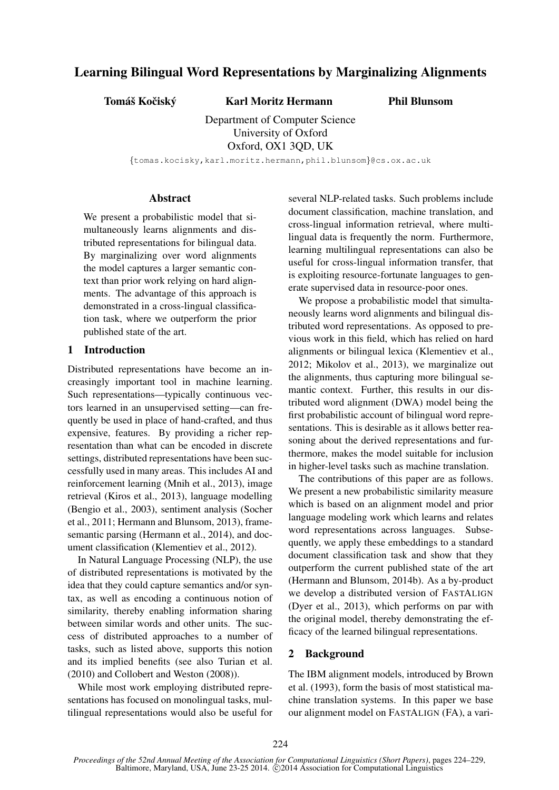# Learning Bilingual Word Representations by Marginalizing Alignments

Tomáš Kočiský <br />
Karl Moritz Hermann

Phil Blunsom

Department of Computer Science University of Oxford Oxford, OX1 3QD, UK

{tomas.kocisky,karl.moritz.hermann,phil.blunsom}@cs.ox.ac.uk

### **Abstract**

We present a probabilistic model that simultaneously learns alignments and distributed representations for bilingual data. By marginalizing over word alignments the model captures a larger semantic context than prior work relying on hard alignments. The advantage of this approach is demonstrated in a cross-lingual classification task, where we outperform the prior published state of the art.

# 1 Introduction

Distributed representations have become an increasingly important tool in machine learning. Such representations—typically continuous vectors learned in an unsupervised setting—can frequently be used in place of hand-crafted, and thus expensive, features. By providing a richer representation than what can be encoded in discrete settings, distributed representations have been successfully used in many areas. This includes AI and reinforcement learning (Mnih et al., 2013), image retrieval (Kiros et al., 2013), language modelling (Bengio et al., 2003), sentiment analysis (Socher et al., 2011; Hermann and Blunsom, 2013), framesemantic parsing (Hermann et al., 2014), and document classification (Klementiev et al., 2012).

In Natural Language Processing (NLP), the use of distributed representations is motivated by the idea that they could capture semantics and/or syntax, as well as encoding a continuous notion of similarity, thereby enabling information sharing between similar words and other units. The success of distributed approaches to a number of tasks, such as listed above, supports this notion and its implied benefits (see also Turian et al. (2010) and Collobert and Weston (2008)).

While most work employing distributed representations has focused on monolingual tasks, multilingual representations would also be useful for several NLP-related tasks. Such problems include document classification, machine translation, and cross-lingual information retrieval, where multilingual data is frequently the norm. Furthermore, learning multilingual representations can also be useful for cross-lingual information transfer, that is exploiting resource-fortunate languages to generate supervised data in resource-poor ones.

We propose a probabilistic model that simultaneously learns word alignments and bilingual distributed word representations. As opposed to previous work in this field, which has relied on hard alignments or bilingual lexica (Klementiev et al., 2012; Mikolov et al., 2013), we marginalize out the alignments, thus capturing more bilingual semantic context. Further, this results in our distributed word alignment (DWA) model being the first probabilistic account of bilingual word representations. This is desirable as it allows better reasoning about the derived representations and furthermore, makes the model suitable for inclusion in higher-level tasks such as machine translation.

The contributions of this paper are as follows. We present a new probabilistic similarity measure which is based on an alignment model and prior language modeling work which learns and relates word representations across languages. Subsequently, we apply these embeddings to a standard document classification task and show that they outperform the current published state of the art (Hermann and Blunsom, 2014b). As a by-product we develop a distributed version of FASTALIGN (Dyer et al., 2013), which performs on par with the original model, thereby demonstrating the efficacy of the learned bilingual representations.

# 2 Background

The IBM alignment models, introduced by Brown et al. (1993), form the basis of most statistical machine translation systems. In this paper we base our alignment model on FASTALIGN (FA), a vari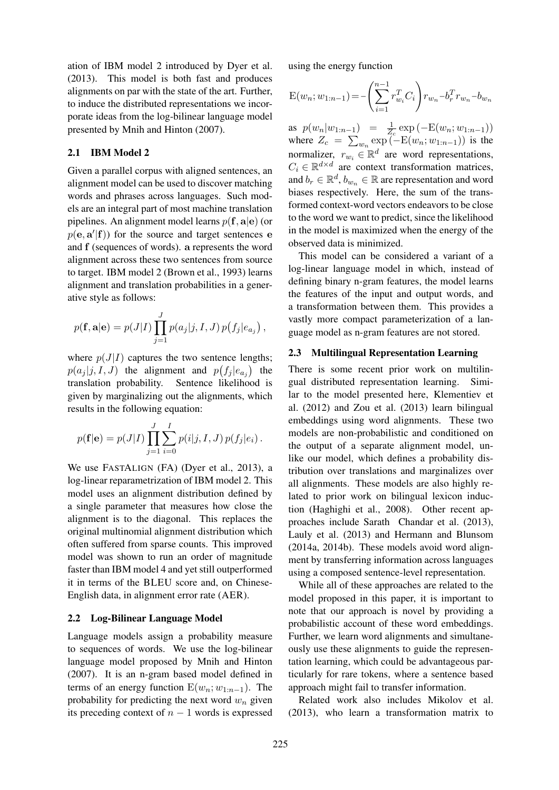ation of IBM model 2 introduced by Dyer et al. (2013). This model is both fast and produces alignments on par with the state of the art. Further, to induce the distributed representations we incorporate ideas from the log-bilinear language model presented by Mnih and Hinton (2007).

# 2.1 IBM Model 2

Given a parallel corpus with aligned sentences, an alignment model can be used to discover matching words and phrases across languages. Such models are an integral part of most machine translation pipelines. An alignment model learns  $p(\mathbf{f}, \mathbf{a}|\mathbf{e})$  (or  $p(\mathbf{e}, \mathbf{a}' | \mathbf{f})$  for the source and target sentences e and f (sequences of words). a represents the word alignment across these two sentences from source to target. IBM model 2 (Brown et al., 1993) learns alignment and translation probabilities in a generative style as follows:

$$
p(\mathbf{f}, \mathbf{a}|\mathbf{e}) = p(J|I) \prod_{j=1}^{J} p(a_j|j, I, J) p(f_j|e_{a_j}),
$$

where  $p(J|I)$  captures the two sentence lengths;  $p(a_j | j, I, J)$  the alignment and  $p(f_j | e_{a_j})$  the translation probability. Sentence likelihood is given by marginalizing out the alignments, which results in the following equation:

$$
p(\mathbf{f}|\mathbf{e}) = p(J|I) \prod_{j=1}^{J} \sum_{i=0}^{I} p(i|j, I, J) p(f_j|e_i).
$$

We use FASTALIGN (FA) (Dyer et al., 2013), a log-linear reparametrization of IBM model 2. This model uses an alignment distribution defined by a single parameter that measures how close the alignment is to the diagonal. This replaces the original multinomial alignment distribution which often suffered from sparse counts. This improved model was shown to run an order of magnitude faster than IBM model 4 and yet still outperformed it in terms of the BLEU score and, on Chinese-English data, in alignment error rate (AER).

#### 2.2 Log-Bilinear Language Model

Language models assign a probability measure to sequences of words. We use the log-bilinear language model proposed by Mnih and Hinton (2007). It is an n-gram based model defined in terms of an energy function  $E(w_n; w_{1:n-1})$ . The probability for predicting the next word  $w_n$  given its preceding context of  $n - 1$  words is expressed

using the energy function

$$
E(w_n; w_{1:n-1}) = -\left(\sum_{i=1}^{n-1} r_{w_i}^T C_i\right) r_{w_n} - b_r^T r_{w_n} - b_{w_n}
$$

as  $p(w_n|w_{1:n-1}) = \frac{1}{Z_c} \exp(-E(w_n; w_{1:n-1}))$ where  $Z_c = \sum_{w_n \text{ exp}} (-E(w_n; w_{1:n-1}))$  is the normalizer,  $r_{w_i} \in \mathbb{R}^d$  are word representations,  $C_i \in \mathbb{R}^{d \times d}$  are context transformation matrices, and  $b_r \in \mathbb{R}^d$ ,  $b_{w_n} \in \mathbb{R}$  are representation and word biases respectively. Here, the sum of the transformed context-word vectors endeavors to be close to the word we want to predict, since the likelihood in the model is maximized when the energy of the observed data is minimized.

This model can be considered a variant of a log-linear language model in which, instead of defining binary n-gram features, the model learns the features of the input and output words, and a transformation between them. This provides a vastly more compact parameterization of a language model as n-gram features are not stored.

### 2.3 Multilingual Representation Learning

There is some recent prior work on multilingual distributed representation learning. Similar to the model presented here, Klementiev et al. (2012) and Zou et al. (2013) learn bilingual embeddings using word alignments. These two models are non-probabilistic and conditioned on the output of a separate alignment model, unlike our model, which defines a probability distribution over translations and marginalizes over all alignments. These models are also highly related to prior work on bilingual lexicon induction (Haghighi et al., 2008). Other recent approaches include Sarath Chandar et al. (2013), Lauly et al. (2013) and Hermann and Blunsom (2014a, 2014b). These models avoid word alignment by transferring information across languages using a composed sentence-level representation.

While all of these approaches are related to the model proposed in this paper, it is important to note that our approach is novel by providing a probabilistic account of these word embeddings. Further, we learn word alignments and simultaneously use these alignments to guide the representation learning, which could be advantageous particularly for rare tokens, where a sentence based approach might fail to transfer information.

Related work also includes Mikolov et al. (2013), who learn a transformation matrix to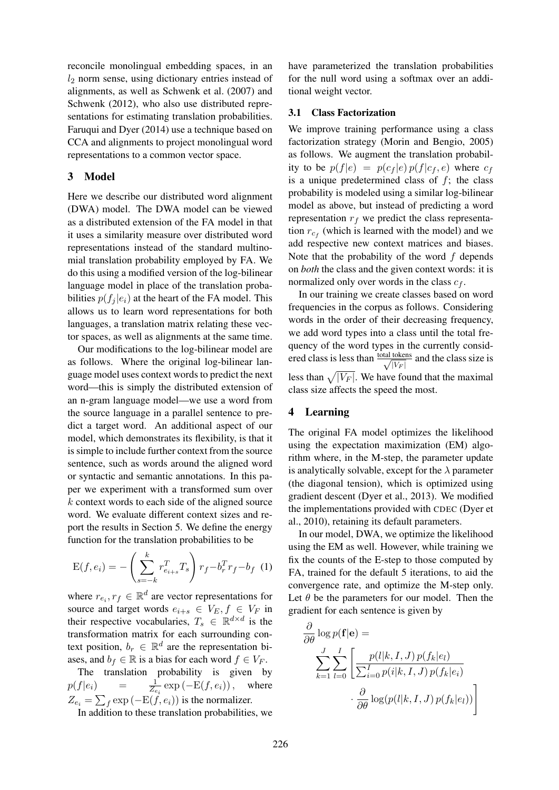reconcile monolingual embedding spaces, in an  $l_2$  norm sense, using dictionary entries instead of alignments, as well as Schwenk et al. (2007) and Schwenk (2012), who also use distributed representations for estimating translation probabilities. Faruqui and Dyer (2014) use a technique based on CCA and alignments to project monolingual word representations to a common vector space.

### 3 Model

Here we describe our distributed word alignment (DWA) model. The DWA model can be viewed as a distributed extension of the FA model in that it uses a similarity measure over distributed word representations instead of the standard multinomial translation probability employed by FA. We do this using a modified version of the log-bilinear language model in place of the translation probabilities  $p(f_i | e_i)$  at the heart of the FA model. This allows us to learn word representations for both languages, a translation matrix relating these vector spaces, as well as alignments at the same time.

Our modifications to the log-bilinear model are as follows. Where the original log-bilinear language model uses context words to predict the next word—this is simply the distributed extension of an n-gram language model—we use a word from the source language in a parallel sentence to predict a target word. An additional aspect of our model, which demonstrates its flexibility, is that it is simple to include further context from the source sentence, such as words around the aligned word or syntactic and semantic annotations. In this paper we experiment with a transformed sum over k context words to each side of the aligned source word. We evaluate different context sizes and report the results in Section 5. We define the energy function for the translation probabilities to be

$$
E(f, e_i) = -\left(\sum_{s=-k}^{k} r_{e_{i+s}}^T T_s\right) r_f - b_r^T r_f - b_f
$$
 (1)

where  $r_{e_i}, r_f \in \mathbb{R}^d$  are vector representations for source and target words  $e_{i+s} \in V_E, f \in V_F$  in their respective vocabularies,  $T_s \in \mathbb{R}^{d \times d}$  is the transformation matrix for each surrounding context position,  $b_r \in \mathbb{R}^d$  are the representation biases, and  $b_f \in \mathbb{R}$  is a bias for each word  $f \in V_F$ .

The translation probability is given by  $p(f|e_i)$  =  $\frac{1}{Z_{e_i}} \exp(-E(f, e_i)), \quad \text{where}$  $Z_{e_i} = \sum_f \exp(-E(\vec{f}, e_i))$  is the normalizer.

In addition to these translation probabilities, we

have parameterized the translation probabilities for the null word using a softmax over an additional weight vector.

#### 3.1 Class Factorization

We improve training performance using a class factorization strategy (Morin and Bengio, 2005) as follows. We augment the translation probability to be  $p(f|e) = p(c_f|e)p(f|c_f, e)$  where  $c_f$ is a unique predetermined class of  $f$ ; the class probability is modeled using a similar log-bilinear model as above, but instead of predicting a word representation  $r_f$  we predict the class representation  $r_{c_f}$  (which is learned with the model) and we add respective new context matrices and biases. Note that the probability of the word  $f$  depends on *both* the class and the given context words: it is normalized only over words in the class  $c_f$ .

In our training we create classes based on word frequencies in the corpus as follows. Considering words in the order of their decreasing frequency, we add word types into a class until the total frequency of the word types in the currently considered class is less than  $\frac{\text{total tokens}}{\sqrt{|V_F|}}$  and the class size is less than  $\sqrt{|V_F|}$ . We have found that the maximal class size affects the speed the most.

### 4 Learning

The original FA model optimizes the likelihood using the expectation maximization (EM) algorithm where, in the M-step, the parameter update is analytically solvable, except for the  $\lambda$  parameter (the diagonal tension), which is optimized using gradient descent (Dyer et al., 2013). We modified the implementations provided with CDEC (Dyer et al., 2010), retaining its default parameters.

In our model, DWA, we optimize the likelihood using the EM as well. However, while training we fix the counts of the E-step to those computed by FA, trained for the default 5 iterations, to aid the convergence rate, and optimize the M-step only. Let  $\theta$  be the parameters for our model. Then the gradient for each sentence is given by

$$
\frac{\partial}{\partial \theta} \log p(\mathbf{f}|\mathbf{e}) =
$$
\n
$$
\sum_{k=1}^{J} \sum_{l=0}^{I} \left[ \frac{p(l|k, I, J) p(f_k|e_l)}{\sum_{i=0}^{I} p(i|k, I, J) p(f_k|e_i)} \right]
$$
\n
$$
\cdot \frac{\partial}{\partial \theta} \log(p(l|k, I, J) p(f_k|e_l))
$$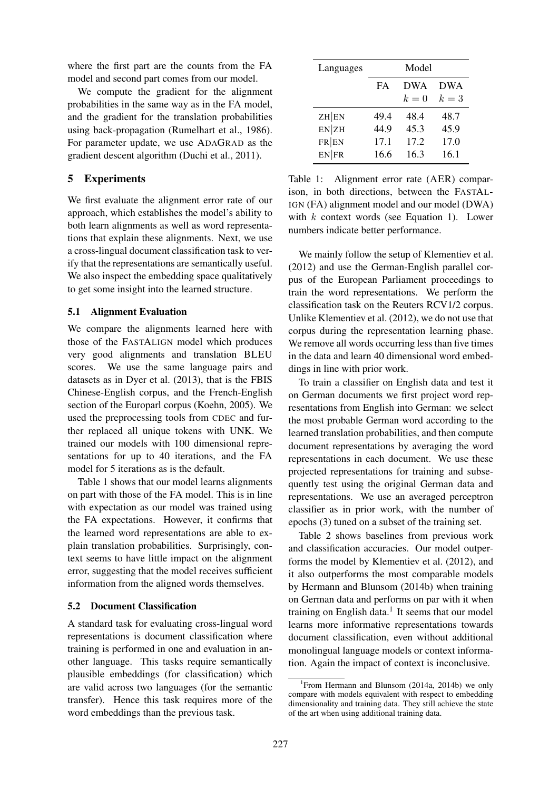where the first part are the counts from the FA model and second part comes from our model.

We compute the gradient for the alignment probabilities in the same way as in the FA model, and the gradient for the translation probabilities using back-propagation (Rumelhart et al., 1986). For parameter update, we use ADAGRAD as the gradient descent algorithm (Duchi et al., 2011).

# 5 Experiments

We first evaluate the alignment error rate of our approach, which establishes the model's ability to both learn alignments as well as word representations that explain these alignments. Next, we use a cross-lingual document classification task to verify that the representations are semantically useful. We also inspect the embedding space qualitatively to get some insight into the learned structure.

# 5.1 Alignment Evaluation

We compare the alignments learned here with those of the FASTALIGN model which produces very good alignments and translation BLEU scores. We use the same language pairs and datasets as in Dyer et al. (2013), that is the FBIS Chinese-English corpus, and the French-English section of the Europarl corpus (Koehn, 2005). We used the preprocessing tools from CDEC and further replaced all unique tokens with UNK. We trained our models with 100 dimensional representations for up to 40 iterations, and the FA model for 5 iterations as is the default.

Table 1 shows that our model learns alignments on part with those of the FA model. This is in line with expectation as our model was trained using the FA expectations. However, it confirms that the learned word representations are able to explain translation probabilities. Surprisingly, context seems to have little impact on the alignment error, suggesting that the model receives sufficient information from the aligned words themselves.

### 5.2 Document Classification

A standard task for evaluating cross-lingual word representations is document classification where training is performed in one and evaluation in another language. This tasks require semantically plausible embeddings (for classification) which are valid across two languages (for the semantic transfer). Hence this task requires more of the word embeddings than the previous task.

| Languages | Model |            |            |
|-----------|-------|------------|------------|
|           | FA    | <b>DWA</b> | <b>DWA</b> |
|           |       | $k=0$      | $k=3$      |
| ZH EN     | 49.4  | 48.4       | 48.7       |
| EN ZH     | 44.9  | 45.3       | 45.9       |
| FR EN     | 17.1  | 17.2       | 17.0       |
| EN FR     | 16.6  | 16.3       | 16.1       |

Table 1: Alignment error rate (AER) comparison, in both directions, between the FASTAL-IGN (FA) alignment model and our model (DWA) with  $k$  context words (see Equation 1). Lower numbers indicate better performance.

We mainly follow the setup of Klementiev et al. (2012) and use the German-English parallel corpus of the European Parliament proceedings to train the word representations. We perform the classification task on the Reuters RCV1/2 corpus. Unlike Klementiev et al. (2012), we do not use that corpus during the representation learning phase. We remove all words occurring less than five times in the data and learn 40 dimensional word embeddings in line with prior work.

To train a classifier on English data and test it on German documents we first project word representations from English into German: we select the most probable German word according to the learned translation probabilities, and then compute document representations by averaging the word representations in each document. We use these projected representations for training and subsequently test using the original German data and representations. We use an averaged perceptron classifier as in prior work, with the number of epochs (3) tuned on a subset of the training set.

Table 2 shows baselines from previous work and classification accuracies. Our model outperforms the model by Klementiev et al. (2012), and it also outperforms the most comparable models by Hermann and Blunsom (2014b) when training on German data and performs on par with it when training on English data. $<sup>1</sup>$  It seems that our model</sup> learns more informative representations towards document classification, even without additional monolingual language models or context information. Again the impact of context is inconclusive.

<sup>&</sup>lt;sup>1</sup> From Hermann and Blunsom (2014a, 2014b) we only compare with models equivalent with respect to embedding dimensionality and training data. They still achieve the state of the art when using additional training data.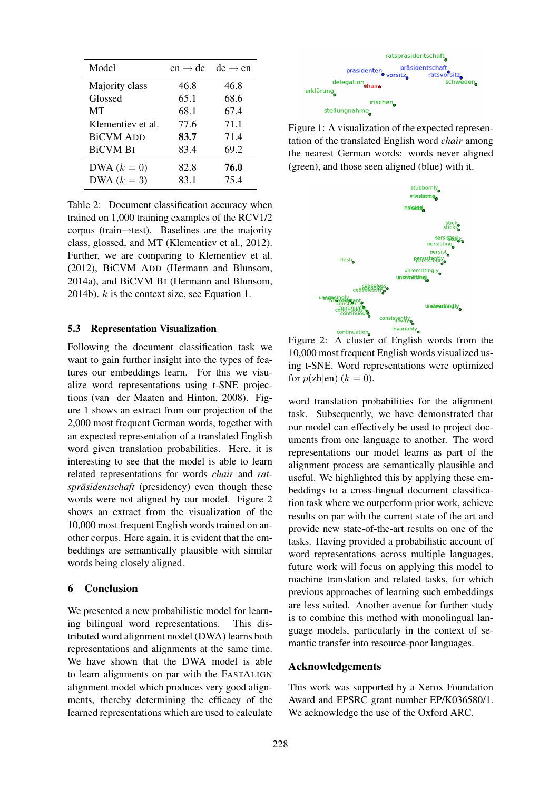| Model             | $en \rightarrow de$ | $de \rightarrow en$ |
|-------------------|---------------------|---------------------|
| Majority class    | 46.8                | 46.8                |
| Glossed           | 65.1                | 68.6                |
| MT                | 68.1                | 67.4                |
| Klementiev et al. | 77.6                | 71.1                |
| <b>BiCVM ADD</b>  | 83.7                | 71.4                |
| <b>BiCVM BI</b>   | 83.4                | 69.2                |
| DWA $(k=0)$       | 82.8                | 76.0                |
| DWA $(k=3)$       | 83.1                | 75.4                |

Table 2: Document classification accuracy when trained on 1,000 training examples of the RCV1/2 corpus (train→test). Baselines are the majority class, glossed, and MT (Klementiev et al., 2012). Further, we are comparing to Klementiev et al. (2012), BiCVM ADD (Hermann and Blunsom, 2014a), and BiCVM BI (Hermann and Blunsom, 2014b).  $k$  is the context size, see Equation 1.

#### 5.3 Representation Visualization

Following the document classification task we want to gain further insight into the types of features our embeddings learn. For this we visualize word representations using t-SNE projections (van der Maaten and Hinton, 2008). Figure 1 shows an extract from our projection of the 2,000 most frequent German words, together with an expected representation of a translated English word given translation probabilities. Here, it is interesting to see that the model is able to learn related representations for words *chair* and *ratspräsidentschaft* (presidency) even though these words were not aligned by our model. Figure 2 shows an extract from the visualization of the 10,000 most frequent English words trained on another corpus. Here again, it is evident that the embeddings are semantically plausible with similar words being closely aligned.

#### 6 Conclusion

We presented a new probabilistic model for learning bilingual word representations. This distributed word alignment model (DWA) learns both representations and alignments at the same time. We have shown that the DWA model is able to learn alignments on par with the FASTALIGN alignment model which produces very good alignments, thereby determining the efficacy of the learned representations which are used to calculate



Figure 1: A visualization of the expected representation of the translated English word *chair* among the nearest German words: words never aligned (green), and those seen aligned (blue) with it.



Figure 2: A cluster of English words from the 10,000 most frequent English words visualized using t-SNE. Word representations were optimized for  $p(\text{zh}|\text{en})$   $(k = 0)$ .

word translation probabilities for the alignment task. Subsequently, we have demonstrated that our model can effectively be used to project documents from one language to another. The word representations our model learns as part of the alignment process are semantically plausible and useful. We highlighted this by applying these embeddings to a cross-lingual document classification task where we outperform prior work, achieve results on par with the current state of the art and provide new state-of-the-art results on one of the tasks. Having provided a probabilistic account of word representations across multiple languages, future work will focus on applying this model to machine translation and related tasks, for which previous approaches of learning such embeddings are less suited. Another avenue for further study is to combine this method with monolingual language models, particularly in the context of semantic transfer into resource-poor languages.

#### Acknowledgements

This work was supported by a Xerox Foundation Award and EPSRC grant number EP/K036580/1. We acknowledge the use of the Oxford ARC.